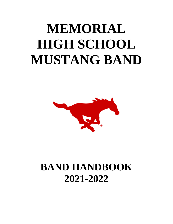# **MEMORIAL HIGH SCHOOL MUSTANG BAND**



## **BAND HANDBOOK 2021-2022**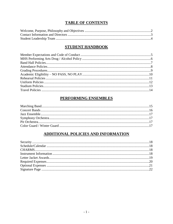## **TABLE OF CONTENTS**

## **STUDENT HANDBOOK**

## PERFORMING ENSEMBLES

## ADDITIONAL POLICIES AND INFORMATION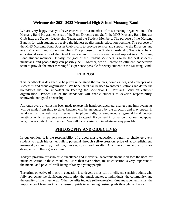#### **Welcome the 2021-2022 Memorial High School Mustang Band!**

We are very happy that you have chosen to be a member of this amazing organization. The Mustang Band Program consists of the Band Directors and Staff, the MHS Mustang Band Booster Club Inc., the Student Leadership Team, and the Student Members. The purpose of the Mustang Band is for each student to receive the highest quality music education possible. The purpose of the MHS Mustang Band Booster Club Inc. is to provide service and support to the Directors and to all Mustang Band student members. The purpose of the Student Leadership Team is to be an educational extension of the Band Directors and to provide service and support to all Mustang Band student members. Finally, the goal of the Student Members is to be the best students, musicians, and people they can possibly be. Together, we will create an efficient, cooperative team to provide the most meaningful experience possible for every student in the Mustang Band!

#### **PURPOSE**

This handbook is designed to help you understand the policies, complexities, and concepts of a successful and proud organization. We hope that it can be used to answer questions and define the boundaries that are important in keeping the Memorial HS Mustang Band an efficient organization. Proper use of the handbook will enable students to develop responsibility, teamwork, and good citizenship.

Although every attempt has been made to keep this handbook accurate, changes and improvements will be made from time to time. Updates will be announced by the directors and may appear in handouts, on the web site, in e-mails, in phone calls, or announced at general band booster meetings, which all parents are encouraged to attend. If you need information that does not appear here, please contact the directors. We will try to assist you in whatever way possible.

## **PHILOSOPHY AND OBJECTIVES**

In our opinion, it is the responsibility of a good music education program to challenge every student to reach his or her fullest potential through self-expression, pride of accomplishment, teamwork, citizenship, tradition, morale, spirit, and loyalty. Our curriculum and efforts are designed with these goals in mind.

Today's pressure for scholastic excellence and individual accomplishment increases the need for music education in the curriculum. More than ever before, music education is very important to the mental and physical well-being of today's young people.

The prime objective of music in education is to develop musically intelligent, sensitive adults who fully appreciate the significant contribution that music makes to individuals, the community, and the quality of life in general. Other benefits include self-expression, time management skills, the importance of teamwork, and a sense of pride in achieving desired goals through hard work.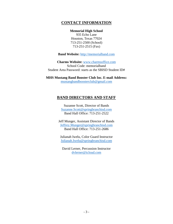## **CONTACT INFORMATION**

#### **Memorial High School**

935 Echo Lane Houston, Texas 77024 713-251-2500 (School) 713-251-2515 (Fax)

**Band Website:** [http://memorialband.com](http://memorialband.com/)

**Charms Website:** [www.charmsoffice.com](http://www.charmsoffice.com/) School Code: memorialband Student Area Password: starts as the SBISD Student ID#

**MHS Mustang Band Booster Club Inc. E-mail Address:** [mustangbandboosterclub@gmail.com](mailto:mustangbandboosterclub@gmail.com)

### **BAND DIRECTORS AND STAFF**

Suzanne Scott, Director of Bands [Suzanne.Scott@springbranchisd.com](mailto:Suzanne.Scott@springbranchisd.com) Band Hall Office: 713-251-2522

Jeff Munger, Assistant Director of Bands [Jeffrey.Munger@springbranchisd.com](mailto:Jeffrey.Munger@springbranchisd.com) Band Hall Office: 713-251-2686

Julianah Iwelu, Color Guard Instructor [Julianah.Iwelu@springbranchisd.com](mailto:Julianah.Iwelu@springbranchisd.com)

David Lerner, Percussion Instructor [dvlerner@icloud.com](mailto:dvlerner@icloud.com)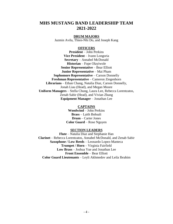## **MHS MUSTANG BAND LEADERSHIP TEAM 2021-2022**

#### **DRUM MAJORS**

Jazmin Avila, Thien-Nhi Do, and Joseph Kang

#### **OFFICERS**

**President** – John Perkins **Vice President** – Ivann Longoria **Secretary** – Annabel McDonald **Historian** – Fope Olayiwole **Senior Representative** – Bear Elliott **Junior Representative** – Mai Pham **Sophomore Representative** – Carson Donnelly **Freshman Representative** – Cameron Ziegenhorn **Librarians** – Ethan Chang, Natalia Diaz, Carson Donnelly, Jonah Liau (Head), and Megan Moore **Uniform Managers** – Stella Chung, Laura Lee, Rebecca Lorentzatos, Zenab Sabir (Head), and Vivian Zhang **Equipment Manager** – Jonathan Lee

#### **CAPTAINS**

**Woodwind** – John Perkins **Brass** – Laith Bohsali **Drum** – Carter Jones **Color Guard** – Rose Nguyen

#### **SECTION LEADERS**

**Flute** – Natalia Diaz and Stephanie Han **Clarinet** – Rebecca Lorentzatos, Annabel McDonald, and Zenab Sabir **Saxophone / Low Reeds** – Leonardo Lopez-Manteca **Trumpet / Horn** – Virginia Fairfield **Low Brass** – Joshua Yue and Jonathan Lee **Front Ensemble** – Bear Elliott **Color Guard Lieutenants** – Leyli Akhmedov and Leila Ibrahim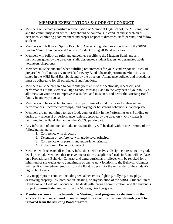## **MEMBER EXPECTATIONS & CODE OF CONDUCT**

- Members will create a positive representation of Memorial High School, the Mustang Band, and the community at all times. They should be courteous in conduct and speech on all occasions, exhibiting good manners and proper respect to directors, staff, parents, and fellow students.
- Members will follow all Spring Branch ISD rules and guidelines as outlined in the SBISD Student/Parent Handbook and Code of Conduct during all Band activities.
- Members will follow all rules and guidelines specific to the Mustang Band, and any instructions given by the directors, staff, designated student leaders, or designated adult volunteers/chaperones.
- Members must be punctual when fulfilling requirements for your Band responsibilities. Be prepared with all necessary materials for every Band rehearsal/performance/function, as stated in the MHS Band Handbook and by the directors. Attendance policies and procedures must be adhered to for all scheduled Band functions.
- Members must be prepared to contribute your skills to the sectionals, rehearsals, and performances of the Memorial High School Mustang Band to the very best of your ability at all times. Do your best to improve as a student and musician, and better the Mustang Band family in any way you can.
- Members will be expected to have the proper frame of mind just prior to rehearsal and performances. Incorrect warm-ups, loud playing, or boisterous behavior is inappropriate.
- Members are not permitted to have food, gum, or drink in the Performing Arts Building or during any rehearsal or performance (unless approved by the directors). Only water is permitted in the Band Hall and on the MCOC parking lot.
- Any infraction of conduct, attitude, or responsibility will be dealt with in one or more of the following manners:
	- 1. Conference with directors
	- 2. Detention or conference with grade-level principal
	- 3. Conference with parents and grade-level principal
	- 4. Probationary Behavior Contract
- Members with repeated disciplinary infractions will receive a discipline referral to the gradelevel principal. Members that receive one or more discipline referrals in Band will be placed on a Probationary Behavior Contract and extra-curricular privileges will be revoked for a minimum of six weeks up to a maximum of one year. Violations to the Behavior Contract will result in immediate removal from the Band program for the remainder of the student's high school years.
- Any inappropriate conduct, including sexual behaviors, fighting, bullying, horseplay, destroying property, insubordination, stealing, or any violation of the SBISD Student/Parent Handbook and Code of Conduct will be dealt with through administration, and the student is subject to **immediate** removal from the Mustang Band program.
- **Members whose attitude towards the Mustang Band program is a detriment to the success of the program and do not attempt to resolve this problem, ultimately will be removed from the Mustang Band program.**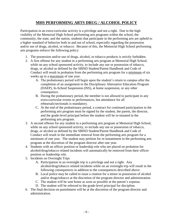## **MHS PERFORMING ARTS DRUG / ALCOHOL POLICY**

Participation in an extra-curricular activity is a privilege and not a right. Due to the high visibility of the Memorial High School performing arts programs within the school, the community, the state, and the nation, students that participate in the performing arts are upheld to a higher standard of behavior both in and out of school, especially regarding the possession and/or use of drugs, alcohol, or tobacco. Because of this, the Memorial High School performing arts programs enforce the following policy:

- 1. The possession and/or use of drugs, alcohol, or tobacco products is strictly forbidden.
- 2. A first offense for any student in a performing arts program at Memorial High School, while on any school sponsored activity, to include any use or possession of tobacco, drugs, or alcohol as defined by the SBISD Student/Parent Handbook and Code of Conduct will result in probation from the performing arts program for a minimum of six weeks up to a maximum of one year.
	- A. The probationary period will begin upon the student's return to campus after the completion of an assignment to the Disciplinary Alternative Education Program (DAEP), In-School Suspension (ISS), at home suspension, or any other consequence.
	- B. During the probationary period, the member is not allowed to participate in any extra-curricular events or performances, but attendance for all rehearsals/sectionals is mandatory.
	- C. At the end of the probationary period, a contract for continued participation in the performing arts program must be signed by the student, the parent, the director, and the grade-level principal before the student will be re-instated in the performing arts program.
- 3. A second offense for any student in a performing arts program at Memorial High School, while on any school sponsored activity, to include any use or possession of tobacco, drugs, or alcohol as defined by the SBISD Student/Parent Handbook and Code of Conduct will result in the immediate removal from the performing arts program for a minimum of one year. The student may petition for re-instatement in the performing arts program at the discretion of the program director after one year.
- 4. Students with an officer position or leadership role who are placed on probation for alcohol/drug/tobacco related incidents will automatically be removed from their officer position or leadership role.
- 5. Incidents on Overnight Trips
	- A. Participation in an overnight trip is a privilege and not a right. Any alcohol/drug/tobacco related incidents while on an overnight trip will result in the following consequences in addition to the consequences described above:
	- B. Local police may be called to issue a citation for a minor in possession of alcohol and/or drugs/tobacco at the discretion of the program director and administration.
	- C. The student will be sent home as soon as possible at the parent's expense.
	- D. The student will be referred to the grade-level principal for discipline.
- 6. The final decision on punishment will be at the discretion of the program director and administration.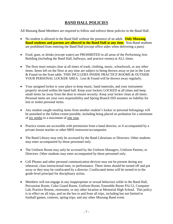## **BAND HALL POLICIES**

All Mustang Band Members are required to follow and enforce these policies in the Band Hall:

- No student is allowed in the Band Hall without the presence of an adult. **Only Mustang Band students and parents are allowed in the Band Hall at any time.** Non-Band students are prohibited from entering the Band Hall (except office aides when delivering a pass).
- Food, gum, or drinks (except water) are PROHIBITED in all areas of the Performing Arts Building (including the Band Hall, hallways, and practice rooms) at ALL times.
- The floor must remain clear at all times of trash, clothing, music, schoolwork, or any other items. Items left on the floor at any time are subject to being thrown away or put in the Lost & Found on the front table. THIS INCLUDES INSIDE PRACTICE ROOMS & OUTSIDE YOUR PERSONAL LOCKER AREA. Lost & Found will be thrown away regularly.
- Your assigned locker is your place to keep music, band materials, and your instrument properly secured within the band hall. Keep your lockers LOCKED at all times and keep small items far away from the door to ensure security. Keep your locker clean at all times. Personal items are your own responsibility and Spring Branch ISD assumes no liability for lost or stolen personal items.
- Any student caught stealing items from another student's locker or personal belongings will be punished to the fullest extent possible, including being placed on probation for a minimum of six weeks to a maximum of one year.
- Practice rooms are accessible with permission from a band director, or if accompanied by a private lesson teacher or other MHS instructor/accompanist.
- The Band Library may only be accessed by the Band Librarians or Directors. Other students may enter accompanied by those personnel only.
- The Uniform Room may only be accessed by the Uniform Managers, Uniform Parents, or Directors. Other students may enter accompanied by those personnel only.
- Cell Phones and other personal communication devices may not be present during any rehearsal, class instructional time, or performance. These items should be turned off and put away or they may be confiscated by a director. Confiscated items will be turned in to the grade-level principal for disciplinary action.
- Members will not engage in any inappropriate or sexual behaviors while in the Band Hall, Percussion Room, Color Guard Room, Uniform Room, Ensemble Room PA112, Computer Lab, Practice Rooms, restrooms, or any other location at Memorial High School. This policy is in effect on all trips, and on the bus to and from all trips, including but not limited to football games, contests, spring trips, and any other Mustang Band event.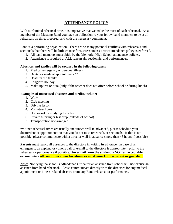## **ATTENDANCE POLICY**

With our limited rehearsal time, it is imperative that we make the most of each rehearsal. As a member of the Mustang Band you have an obligation to your fellow band members to be at all rehearsals on time, prepared, and with the necessary equipment.

Band is a performing organization. There are so many potential conflicts with rehearsals and sectionals that there will be little chance for success unless a strict attendance policy is enforced.

- 1. All band members must abide by the Memorial High School attendance policies.
- 2. Attendance is required at ALL rehearsals, sectionals, and performances.

#### **Absences and tardies will be excused in the following cases:**

- 1. Medical emergency or personal illness
- 2. Dental or medical appointments \*\*
- 3. Death in the family
- 4. Religious holiday
- 5. Make-up test or quiz (only if the teacher does not offer before school or during lunch)

#### **Examples of unexcused absences and tardies include:**

- 1. Work
- 2. Club meeting
- 3. Driving lesson
- 4. Volunteer hours
- 5. Homework or studying for a test
- 6. Private tutoring or test prep (outside of school)
- 7. Transportation not arranged

\*\* Since rehearsal times are usually announced well in advanced, please schedule your doctor/dentist appointments so that you do not miss rehearsals or sectionals. If this is not possible, please communicate with a director well in advance (more than 48 hours if possible).

**Parents** must report all absences to the directors in writing **in advance.** In case of an emergency, an explanatory phone call or e-mail to the directors is appropriate – prior to the rehearsal or performance if possible. **An e-mail from the student is NOT an acceptable excuse note – all communications for absences must come from a parent or guardian.**

Note: Notifying the school's Attendance Office for an absence from school will not excuse an absence from band rehearsal. Please communicate directly with the directors for any medical appointment or illness-related absence from any Band rehearsal or performance.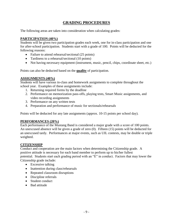## **GRADING PROCEDURES**

The following areas are taken into consideration when calculating grades:

#### **PARTICIPATION (40%)**

Students will be given two participation grades each week, one for in-class participation and one for after-school participation. Students start with a grade of 100. Points will be deducted for the following reasons:

- Failure to attend rehearsal/sectional (25 points)
- Tardiness to a rehearsal/sectional (10 points)
- Not having necessary equipment (instrument, music, pencil, chips, coordinate sheet, etc.)

Points can also be deducted based on the **quality** of participation.

#### **ASSIGNMENTS (40%)**

Students will have various in-class and homework assignments to complete throughout the school year. Examples of these assignments include:

- 1. Returning required forms by the deadline
- 2. Performance on memorization pass-offs, playing tests, Smart Music assignments, and video recording assignments
- 3. Performance on any written tests
- 4. Preparation and performance of music for sectionals/rehearsals

Points will be deducted for any late assignments (approx. 10-15 points per school day).

#### **PERFORMANCES (20%)**

Each performance of the Mustang Band is considered a major grade with a score of 100 points. An unexcused absence will be given a grade of zero (0). Fifteen (15) points will be deducted for an unexcused tardy. Performances at major events, such as UIL contests, may be double or triple weighted.

#### **CITIZENSHIP**

Conduct and cooperation are the main factors when determining the Citizenship grade. A positive attitude is necessary for each band member to perform up to his/her fullest potential. Students start each grading period with an "E" in conduct. Factors that may lower the Citizenship grade include:

- Excessive talking
- Inattention during class/rehearsals
- Repeated classroom disruptions
- Discipline referrals
- Student conduct
- Bad attitude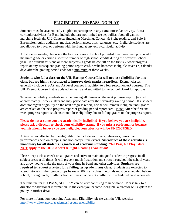## **ELIGIBILITY – NO PASS, NO PLAY**

Students must be academically eligible to participate in any extra-curricular activity. Extracurricular activities for Band include (but are not limited to) pep rallies, football games, marching festivals, UIL Contests (including Marching, Concert & Sight-reading, and Solo & Ensemble), region auditions, musical performances, trips, banquets, etc. Ineligible students are not allowed to travel or perform with the Band at any extra-curricular activity.

All students are eligible during the first six weeks of school provided they have been promoted to the ninth grade or earned a specific number of high school credits during the previous school year. If a student fails one or more subjects (a grade below 70) on the first six-week progress report or any subsequent grading period report card, he/she becomes ineligible seven (7) calendar days after the grading period ends for a minimum of three weeks.

**Students who fail a class on the UIL Exempt Course List will not lose eligibility for this class, but are highly encouraged to improve their grades regardless.** Exempt classes generally include Pre-AP and AP level courses in addition to a few select non-AP courses. The UIL Exempt Course List is updated annually and submitted to the School Board for approval.

To regain eligibility, students must be passing all classes on the next progress report, (issued approximately 3 weeks later) and may participate after the seven-day waiting period. If a student does not regain eligibility on the next progress report, he/she will remain ineligible until grades are checked on the next progress report or grading period report card. Note: After the first sixweek progress report, students cannot lose eligibility due to failing grades on the progress report.

#### **Please do not assume you are academically ineligible! If you believe you are ineligible, please ask a director to check your eligibility status. If you miss a performance because you mistakenly believe you are ineligible, your absence will be UNEXCUSED.**

Activities not affected by the eligibility rule include sectionals, rehearsals, curricular performances held on campus, and non-competitive events. **Attendance at these activities is mandatory for all students, regardless of academic standing. "No Pass, No Play" does NOT apply to the UIL Concert & Sight-Reading Evaluation!**

Please keep a close check on all grades and strive to maintain good academic progress in all subject areas at all times. It will prevent much frustration and stress throughout the school year, and allow you to make the most of your time in Band and other activities. **Students are required to request a re-test for a failing test grade in any class.** Students are expected to attend tutorials if their grade drops below an 80 in any class. Tutorials must be scheduled before school, during lunch, or after school at times that do not conflict with scheduled band rehearsals.

The timeline for NO PASS, NO PLAY can be very confusing to understand. Please talk to a director for additional information. In the event you become ineligible, a director will explain the policy in further detail.

For more information regarding Academic Eligibility, please visit the UIL website: <http://www.uiltexas.org/academics/resources/eligibility>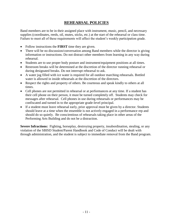## **REHEARSAL POLICIES**

Band members are to be in their assigned place with instrument, music, pencil, and necessary supplies (coordinates, reeds, oil, mutes, sticks, etc.) at the start of the rehearsal or class time. Failure to meet all of these requirements will affect the student's weekly participation grade.

- Follow instructions the **FIRST** time they are given.
- There will be no discussion/conversation among Band members while the director is giving information or instructions. Do not distract other members from learning in any way during rehearsal.
- Students are to use proper body posture and instrument/equipment positions at all times.
- Restroom breaks will be determined at the discretion of the director running rehearsal or during designated breaks. Do not interrupt rehearsal to ask.
- A water jug filled with ice water is required for all outdoor marching rehearsals. Bottled water is allowed in inside rehearsals at the discretion of the directors.
- Respect the rights and property of others. Be courteous and speak kindly to others at all times.
- Cell phones are not permitted in rehearsal or at performances at any time. If a student has their cell phone on their person, it must be turned completely off. Students may check for messages after rehearsal. Cell phones in use during rehearsals or performances may be confiscated and turned in to the appropriate grade-level principal.
- If a student must leave rehearsal early, prior approval must be given by a director. Students should leave at a time when the ensemble is not actively engaged in a performance rep and should do so quietly. Be conscientious of rehearsals taking place in other areas of the Performing Arts Building and do not be a distraction.

**Severe Infractions:** Fighting, horseplay, destroying property, insubordination, stealing, or any violation of the SBISD Student/Parent Handbook and Code of Conduct will be dealt with through administration, and the student is subject to immediate removal from the Band program.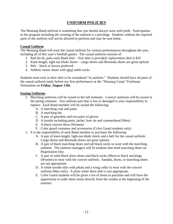## **UNIFORM POLICIES**

The Mustang Band uniform is something that you should always wear with pride. Participation in the program including the wearing of the uniform is a privilege. Students without the required parts of the uniform will not be allowed to perform and may be sent home.

#### **Casual Uniform**

The Mustang Band will wear the casual uniform for various performances throughout the year, including all of this year's football games. The casual uniform consists of:

- 1. Red dri-fit, polo-style Band shirt first shirt is provided, replacement shirt is \$35
- 2. Knee-length, light-tan khaki shorts cargo shorts and Bermuda shorts are great options
- 3. Belt black or brown preferred
- 4. Athletic tennis shoes with short ankle socks

Students must tuck in their shirt to be considered "in uniform." Students should have all parts of the casual uniform ready before our first performance at the "Mustang Camp" Freshman Orientation on **Friday, August 13th**.

#### **Issuing Uniforms**

- 1. Marching uniforms will be issued in the fall semester. Concert uniforms will be issued in the spring semester. Any uniform part that is lost or damaged is your responsibility to replace. Each Band member will be issued the following:
	- A. A marching coat and pants
	- B. A marching hat
	- C. A pair of gauntlets and two pairs of gloves
	- D. A tuxedo including pants, jacket, bow tie and cummerbund (Men)
	- E. A black concert dress (Women)
	- F. Color guard costumes and accessories (Color Guard students only)
- 2. It is the responsibility of each Band member to purchase the following:
	- A. A pair of knee-length, light-tan khaki shorts and a belt for the casual uniform. Cargo shorts and Bermuda shorts are great options.
	- B. A pair of black marching shoes and tall black socks to wear with the marching uniform. The uniform managers will fit students that need marching shoes on Registration Day.
	- C. A pair of solid black dress shoes and black socks (Men) or black stockings (Women) to wear with the concert uniform. Sandals, boots, or marching shoes are not appropriate.
	- D. A white tuxedo shirt with pleats and a wing collar to wear with the concert uniform (Men only). A plain white dress shirt is not appropriate.
	- E. Color Guard students will be given a list of items to purchase and will have the opportunity to order these items directly from the vendor at the beginning of the summer.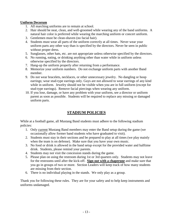#### **Uniform Decorum**

- 1. All marching uniforms are to remain at school.
- 2. Hair should be neat, clean, and well-groomed while wearing any of the band uniforms. A natural hair color is preferred while wearing the marching uniform or concert uniform.
- 3. Gentlemen must be clean-shaven (no facial hair).
- 4. Students must wear all parts of the uniform correctly at all times. Never wear your uniform parts any other way than is specified by the directors. Never be seen in public without proper dress.
- 5. Sunglasses, other hats, etc. are not appropriate unless otherwise specified by the directors.
- 6. No running, eating, or drinking anything other than water while in uniform unless otherwise specified by the directors.
- 7. Hang-up the uniform properly after returning from a performance.
- 8. Memorize your uniform numbers. Do not exchange uniform parts with another Band member.
- 9. Do not wear bracelets, necklaces, or other unnecessary jewelry. No dangling or hoop earrings; wear stud-type earrings only. Guys are not allowed to wear earrings of any kind while in uniform. Jewelry should not be visible when you are in full uniform (except for stud-type earrings). Remove facial piercings when wearing any uniform.
- 10. If you lose, damage, or have any problem with your uniform, see a director or uniform parent as soon as possible. Students will be required to replace any missing or damaged uniform parts.

## **STADIUM POLICIES**

While at a football game, all Mustang Band students must adhere to the following stadium policies:

- 1. Only current Mustang Band members may enter the Band setup during the game (we occasionally allow former band students who have graduated to visit).
- 2. Students must stay in their sections and be prepared to play at all times (we play mainly when the team is on defense). Make sure that you have your own music.
- 3. No food or drink is allowed in the band setup except for the provided water and halftime drink. Students, please remind your parents.
- 4. Students may not visit the concession stands during the game.
- 5. Please plan on using the restroom during 1st or 3rd quarters only. Students may not leave for the restrooms until after the kick-off. **Sign out with a chaperone** and make sure that you go in groups of two or more. Section Leaders will keep track of how many students are missing from their section.
- 6. There is no individual playing in the stands. We only play as a group.

Thank you for following these rules. They are for your safety and to help keep instruments and uniforms undamaged.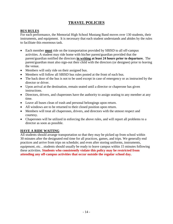## **TRAVEL POLICIES**

#### **BUS RULES**

For each performance, the Memorial High School Mustang Band moves over 130 students, their instruments, and equipment. It is necessary that each student understands and abides by the rules to facilitate this enormous task.

- Each member **must** ride on the transportation provided by SBISD to all off-campus activities. A student may ride home with his/her parent/guardian provided that the parent/guardian notified the directors **in writing at least 24 hours prior to departure.** The parent/guardian must also sign-out their child with the directors (or designee) prior to leaving the venue.
- Members will only ride on their assigned bus.
- Members will follow all SBISD bus rules posted at the front of each bus.
- The back door of the bus is not to be used except in case of emergency or as instructed by the director or driver.
- Upon arrival at the destination, remain seated until a director or chaperone has given instructions.
- Directors, drivers, and chaperones have the authority to assign seating to any member at any time.
- Leave all buses clean of trash and personal belongings upon return.
- All windows are to be returned to their closed position upon return.
- Members will treat all chaperones, drivers, and directors with the utmost respect and courtesy.
- Chaperones will be utilized in enforcing the above rules, and will report all problems to a director as soon as possible.

### **HAVE A RIDE WAITING**

All students should arrange transportation so that they may be picked up from school within 30 minutes after the designated end time for all practices, games, and trips. We generally end practices and arrive from trips on schedule; and even after storing uniforms, instruments, equipment, etc…students should usually be ready to leave campus within 15 minutes following these activities. **Students who consistently violate this policy may be restricted from attending any off-campus activities that occur outside the regular school day.**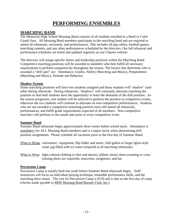## **PERFORMING ENSEMBLES**

## **MARCHING BAND**

The Memorial High School Mustang Band consists of all students enrolled in a Band or Color Guard class. All Mustang Band members participate in the marching band and are required to attend all rehearsals, sectionals, and performances. This includes all pep rallies, football games, marching contests, and any other performances scheduled by the directors. Our full rehearsal and performance schedules are listed and updated regularly on our Charms website.

The directors will assign specific duties and leadership positions within the Marching Band. Competitive marching positions will be awarded to members who best fulfill all necessary requirements to perform competitively throughout the season. The factors that determine who is awarded a "drill spot" are: Attendance, Grades, Ability (Marching and Music), Preparedness (Marching and Music), Attitude and Behavior.

#### **Shadow System**

Some marching positions will have two students assigned and these students will "shadow" each other during rehearsals. During rehearsals, "shadows" will constantly alternate marching the position so that both students have the opportunity to learn the demands of the drill position. As the season progresses, one student will be selected to perform the position at competitive events, otherwise the two students will continue to alternate on non-competitive performances. Students who are not awarded a competitive marching position must still attend all rehearsals, performances, and fulfill grade requirements expected of all members. Non-competitive marchers will perform in the stands and assist at every competitive event.

#### **Summer Band**

Summer Band rehearsals begin approximately three weeks before school starts. Attendance is mandatory for ALL Mustang Band members and is a major factor when determining drill position assignments. Please schedule all vacations prior to the first day of Summer Band.

What to Bring: instrument / equipment, flip folder and music, half-gallon or larger Igloo-style water jug filled with ice water (required at all marching rehearsals)

What to Wear: light-colored clothing (t-shirt and shorts), athletic tennis shoes (running or cross training shoes are required), sunscreen, sunglasses, and hat

#### **Percussion Camp**

Percussion Camp is usually held one week before Summer Band rehearsals begin. Staff instructors will focus on individual playing technique, ensemble performance skills, and the marching show music. The cost for Percussion Camp is \$150 and is due on the first day of camp (checks made payable to MHS Mustang Band Booster Club, Inc.).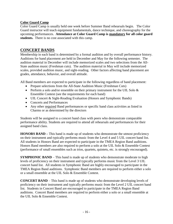#### **Color Guard Camp**

Color Guard Camp is usually held one week before Summer Band rehearsals begin. The Color Guard instructor will teach equipment fundamentals, dance technique, and choreography for the upcoming performances. **Attendance at Color Guard Camp is mandatory for all color guard students.** There is no cost associated with this camp.

## **CONCERT BANDS**

Membership in each band is determined by a formal audition and by overall performance history. Auditions for band placement are held in December and May for the following semester. The audition material in December will include memorized scales and two selections from the All-State audition music (Freshman cuts). The audition material in May will include memorized scales, provided audition music, and sight-reading. Other factors affecting band placement are grades, attendance, behavior, and overall attitude.

All Band members are expected to participate in the following regardless of band placement:

- Prepare selections from the All-State Audition Music (Freshman Cuts)
- Perform a solo and/or ensemble on their primary instrument for the UIL Solo  $\&$ Ensemble Contest (see the requirements for each band)
- UIL Concert & Sight-Reading Evaluation (Honors and Symphonic Bands)
- Concerts and Performances
- Any other required Band performances or specific band class activities as listed in Charms or as determined by the directors

Students will be assigned to a concert band class with peers who demonstrate comparable performance ability. Students are required to attend all rehearsals and performances for their assigned band class.

**HONORS BAND –** This band is made up of students who demonstrate the utmost proficiency on their instrument and typically performs music from the Level 4 and 5 UIL concert band list. All students in Honors Band are expected to participate in the TMEA Region Band auditions. Honors Band members are also required to perform a solo at the UIL Solo & Ensemble Contest (performance of small ensembles such as trios, quartets, quintets, etc. is strongly encouraged).

**SYMPHONIC BAND** – This band is made up of students who demonstrate moderate to high levels of proficiency on their instrument and typically performs music from the Level 3 UIL concert band list. All students in Symphonic Band are highly encouraged to participate in the TMEA Region Band auditions. Symphonic Band members are required to perform either a solo or a small ensemble at the UIL Solo & Ensemble Contest.

**CONCERT BAND** – This band is made up of students who demonstrate developing levels of proficiency on their instrument and typically performs music from the Level 2 UIL concert band list. Students in Concert Band are encouraged to participate in the TMEA Region Band auditions. Concert Band members are required to perform either a solo or a small ensemble at the UIL Solo & Ensemble Contest.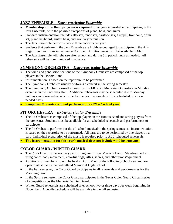## **JAZZ ENSEMBLE –** *Extra-curricular Ensemble*

- **Membership in the Band program is required** for anyone interested in participating in the Jazz Ensemble, with the possible exceptions of piano, bass, and guitar.
- Standard instrumentation includes alto sax, tenor sax, baritone sax, trumpet, trombone, drum set, piano/keyboard, guitar, bass, and auxiliary percussion.
- The Jazz Ensemble performs two to three concerts per year.
- Students that perform in the Jazz Ensemble are highly encouraged to participate in the All-Region Jazz auditions in September/October. Audition music will be available in May.
- The Jazz Ensemble will rehearse after school and during 5th period lunch as needed. All rehearsals will be communicated in advance.

## **SYMPHONY ORCHESTRA –** *Extra-curricular Ensemble*

- The wind and percussion sections of the Symphony Orchestra are composed of the top players in the Honors Band.
- Instrumentation is based on the repertoire to be performed.
- The Symphony Orchestra usually performs a concert in the spring semester.
- The Symphony Orchestra usually meets for Big MO (Big Memorial Orchestra) on Monday evenings in the Orchestra Hall. Additional rehearsals may be scheduled due to Monday holidays and dress rehearsals for performances. Sectionals will be scheduled on an asneeded basis.
- **Symphony Orchestra will not perform in the 2021-22 school year.**

## **PIT ORCHESTRA –** *Extra-curricular Ensemble*

- The Pit Orchestra is composed of the top players in the Honors Band and string players from the orchestra. Students must be available for all scheduled rehearsals and performances to participate.
- The Pit Orchestra performs for the all-school musical in the spring semester. Instrumentation is based on the repertoire to be performed. All parts are to be performed by one player on a part. Individual preparation of the music is required prior to ALL scheduled rehearsals.
- **The instrumentation for this year's musical does not include wind instruments.**

## **COLOR GUARD / WINTER GUARD**

- The Color Guard is the auxiliary performing unit for the Mustang Band. Members perform using dance/body movement, colorful flags, rifles, sabres, and other props/equipment.
- Auditions for membership will be held in April/May for the following school year and are open to all students that will attend Memorial High School.
- In the Fall semester, the Color Guard participates in all rehearsals and performances for the Marching Band.
- In the Spring semester, the Color Guard participates in the Texas Color Guard Circuit series of competitions as the Memorial Winter Guard.
- Winter Guard rehearsals are scheduled after school two or three days per week beginning in November. A detailed schedule will be available in the fall semester.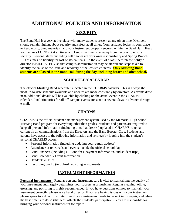## **ADDITIONAL POLICIES AND INFORMATION**

## **SECURITY**

The Band Hall is a very active place with many students present at any given time. Members should remain vigilant about security and safety at all times. Your assigned locker is your place to keep music, band materials, and your instrument properly secured within the Band Hall. Keep your lockers LOCKED at all times and keep small items far away from the door to ensure security. Personal items including cell phones are your own responsibility and Spring Branch ISD assumes no liability for lost or stolen items. In the event of a loss/theft, please notify a director IMMEDIATELY so that campus administration may be alerted and steps taken to identify the cause of the issue and recovery of the lost/stolen items. **Only Mustang Band students are allowed in the Band Hall during the day, including before and after school.**

## **SCHEDULE/CALENDAR**

The official Mustang Band schedule is located in the CHARMS calendar. This is always the most up-to-date schedule available and updates are made constantly by directors. As events draw near, additional details will be available by clicking on the actual event in the CHARMS calendar. Final itineraries for all off-campus events are sent out several days in advance through e-mail.

## **CHARMS**

CHARMS is the official student data management system used by the Memorial High School Mustang Band program for everything other than grades. Students and parents are required to keep all personal information (including e-mail addresses) updated in CHARMS to remain current on all communications from the Directors and the Band Booster Club. Students and parents have access to the following information and services by logging into the student's personal CHARMS account:

- Personal Information (including updating your e-mail address)
- Attendance at rehearsals and events outside the official school day
- Band Finances (including all Band fees, payment information, and student trips)
- Band Calendar & Event Information
- Handouts & Files
- Recording Studio (to upload recording assignments)

## **INSTRUMENT INFORMATION**

**Personal Instruments:** Regular personal instrument care is vital to maintaining the quality of your instrument and largely determines your success as a musician. Regular cleaning, oiling, greasing, and polishing is highly recommended. If you have questions on how to maintain your instrument correctly, please ask a band director. If you are having issues with your instrument, please speak to a director to determine if your instrument needs to be sent in for repair, and when the best time is to do so (that least affects the student's participation). You are responsible for bringing your personal instrument in for repair.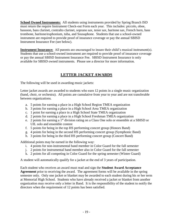**School Owned Instruments:** All students using instruments provided by Spring Branch ISD must return the require Instrument Check-out Form each year. This includes: piccolo, oboe, bassoon, bass clarinet, contralto clarinet, soprano sax, tenor sax, baritone sax, French horn, bass trombone, baritone/euphonium, tuba, and Sousaphone. Students that use a school-owned instrument are required to provide proof of insurance coverage or pay the annual SBISD Instrument Insurance Fee (see below).

**Instrument Insurance:** All parents are encouraged to insure their child's musical instrument(s). Students that use a school-owned instrument are required to provide proof of insurance coverage or pay the annual SBISD Instrument Insurance Fee. SBISD Instrument Insurance is only available for SBISD owned instruments. Please see a director for more information.

## **LETTER JACKET AWARDS**

The following will be used in awarding music jackets:

Letter jacket awards are awarded to students who earn 12 points in a single music organization (band, choir, or orchestra). All points are cumulative from year to year and are not transferable between organizations.

- a. 5 points for earning a place in a High School Region TMEA organization
- b. 3 points for earning a place in a High School Area TMEA organization
- c. 1 point for earning a place in a High School State TMEA organization
- d. 2 points for earning a place in a High School Freshman TMEA organization
- e. 2 points for earning a 1st division rating on a Class One solo or ensemble at a SBISD or UIL solo and ensemble contest
- f. 5 points for being in the top HS performing concert group (Honors Band)
- g. 4 points for being in the second HS performing concert group (Symphonic Band)
- h. 3 points for being in the third HS performing concert group (Concert Band)

Additional points may be earned in the following way:

- i. 4 points for non-instrumental band member in Color Guard for the fall semester
- j. 2 points for instrumental band member also in Color Guard for the fall semester
- k. 2 points for all competing in Color Guard for the spring semester (Winter Guard)

A student will automatically qualify for a jacket at the end of 3 years of participation.

Each student who receives an award must read and sign the **Student Award Acceptance Agreement** prior to receiving the award. The agreement forms will be available in the spring semester only. Only one jacket or blanket may be awarded to each student during his or her term at Memorial High School. Students who have already received a jacket or blanket from another organization may receive only a letter in Band. It is the responsibility of the student to notify the directors when the requirement of 12 points has been satisfied.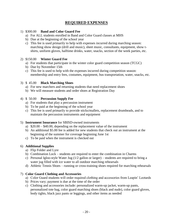## **REQUIRED EXPENSES**

#### 1) \$300.00 **Band and Color Guard Fee**

- a) For ALL students enrolled in Band and Color Guard classes at MHS
- b) Due at the beginning of the school year
- c) This fee is used primarily to help with expenses incurred during marching season: marching show design (drill and music), sheet music, consultants, equipment, show tshirts, uniform gloves, halftime drinks, water, snacks, section of the week parties, etc.

#### 2) \$150.00 **Winter Guard Fee**

- a) For students that participate in the winter color guard competition season (TCGC)
- b) Due by November 15th
- c) This fee is used to help with the expenses incurred during competition season: membership and entry fees, costumes, equipment, bus transportation, water, snacks, etc.

#### 3) \$ 45.00 **Black Marching Shoes**

- a) For new marchers and returning students that need replacement shoes
- b) We will measure students and order shoes at Registration Day

#### 4) \$ 50.00 **Percussion Supply Fee**

- a) For students that play a percussion instrument
- b) To be paid at the beginning of the school year
- c) This fee is used primarily to provide sticks/mallets, replacement drumheads, and to maintain the percussion instruments and equipment

#### 5) **Instrument Insurance** for SBISD-owned instruments

- a) \$20.00 \$40.00, depending on the replacement value of the instrument
- b) An additional \$5.00 fee is added for new students that check out an instrument at the beginning of the summer for coverage beginning June 1st
- c) To be paid when the instrument is checked out

#### 6) **Additional Supplies**

- a) Flip Folder and Lyre
- b) Combination Lock students are required to enter the combination in Charms
- c) Personal Igloo-style Water Jug (1/2 gallon or larger) students are required to bring a water jug filled with ice water to all outdoor marching rehearsals
- d) Athletic Tennis Shoes running or cross-training shoes required for marching rehearsals

#### 7) **Color Guard Clothing and Accessories**

- a) Color Guard students will order required clothing and accessories from Leapin' Leotards
- b) Prices vary; payment is due at the time of the order
- c) Clothing and accessories include: personalized warm-up jacket, warm-up pants, personalized tote bag, color guard marching shoes (black and nude), color guard gloves, body tights, black jazz pants or leggings, and other items as needed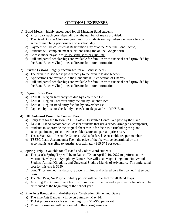## **OPTIONAL EXPENSES**

- 1) **Band Meals** highly encouraged for all Mustang Band students
	- a) Prices vary each year, depending on the number of meals provided.
	- b) The Band Booster Club arranges meals for students on days when we have a football game or marching performance on a school day.
	- c) Payment will be collected at Registration Day or at the Meet the Band Picnic.
	- d) Students will complete meal selections using the online Google form.
	- e) Checks made payable to MHS Band Booster Club, Inc.
	- f) Full and partial scholarships are available for families with financial need (provided by the Band Booster Club) – see a director for more information.
- 2) **Private Lessons** highly encouraged for all Band students
	- a) The private lesson fee is paid directly to the private lesson teacher.
	- b) Applications are available in the Handouts  $&$  Files section of Charms.
	- c) Full and partial scholarships are available for families with financial need (provided by the Band Booster Club) – see a director for more information.

#### 3) **Region Entry Fees**

- a) \$20.00 Region Jazz entry fee due by September 1st
- b) \$20.00 Region Orchestra entry fee due by October 15th
- c) \$20.00 Region Band entry fee due by November 1st
- d) Payment by cash or check only checks made payable to MHS Band

#### 4) **UIL Solo and Ensemble Contest Fees**

- a) Entry fees for the Region 27 UIL Solo & Ensemble Contest are paid by the Band
- b) \$45.00 Piano Accompanist Fee (for students that use a school arranged accompanist)
- c) Students must provide the original sheet music for their solo (including the piano accompaniment part) or their ensemble (score and parts) – prices vary
- d) Texas State Solo-Ensemble Contest \$20 solo fee, \$10 ensemble fee per member
- e) TSSEC Piano Accompanist Fee the price of the fee will be determined by the accompanist traveling to Austin, approximately \$65-\$75 per event.
- 5) **Spring Trip** available for all Band and Color Guard students
	- a) This year's Spring Trip will be to Dallas, TX on April 7-10, 2022 to perform at the Morton H. Meyerson Symphony Center. We will visit Magic Kingdom, Hollywood Studios, Animal Kingdom, and Universal Studios/Islands of Adventure. The anticipated cost for this trip is \$650.
	- b) Band Trips are not mandatory. Space is limited and offered on a first come, first served basis.
	- c) The "No Pass, No Play" eligibility policy will be in effect for all Band Trips.
	- d) A Spring Trip Commitment Form with more information and a payment schedule will be distributed at the beginning of the school year.
- 6) **Fine Arts Banquet** End-of-the-Year Celebration Dinner and Dance
	- a) The Fine Arts Banquet will be on Saturday, May 14.
	- b) Ticket prices vary each year, ranging from \$45-\$65 per ticket.
	- c) More information will be released in the spring semester.